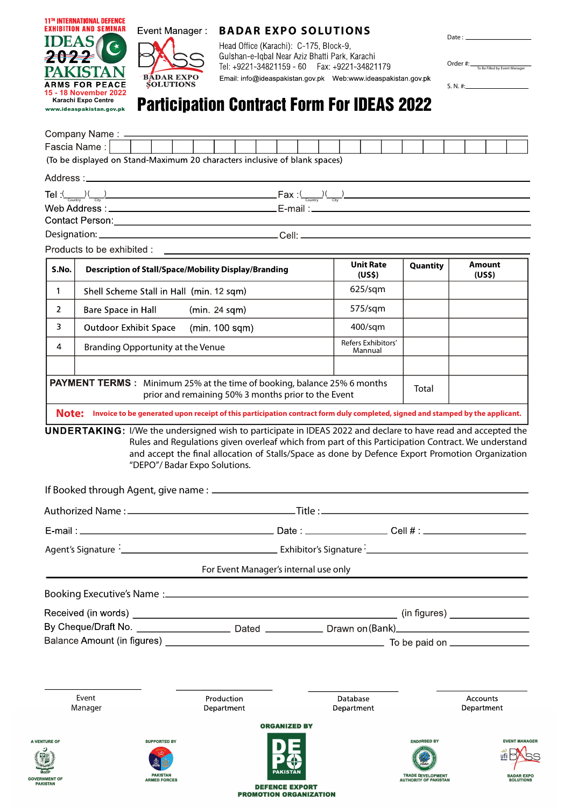

PAYMENT TERMS : Minimum 25% at the time of booking, balance 25% 6 months

"DEPO"/ Badar Expo Solutions.

A VEI

**GOVERNMENT OF** 

prior and remaining 50% 3 months prior to the Event

|                                   |                                                               | Agent's Signature 2000 Communication of Exhibitor's Signature 2000 Communication of the Agent's Signature 2000 |                     |                        |                                                                                |                                                                                |
|-----------------------------------|---------------------------------------------------------------|----------------------------------------------------------------------------------------------------------------|---------------------|------------------------|--------------------------------------------------------------------------------|--------------------------------------------------------------------------------|
|                                   |                                                               | For Event Manager's internal use only                                                                          |                     |                        |                                                                                |                                                                                |
|                                   |                                                               |                                                                                                                |                     |                        |                                                                                |                                                                                |
|                                   |                                                               |                                                                                                                |                     |                        |                                                                                |                                                                                |
|                                   |                                                               |                                                                                                                |                     |                        |                                                                                |                                                                                |
|                                   |                                                               |                                                                                                                |                     |                        |                                                                                |                                                                                |
| Event<br>Manager                  |                                                               | Production<br>Department                                                                                       |                     | Database<br>Department |                                                                                | <b>Accounts</b><br>Department                                                  |
|                                   |                                                               |                                                                                                                | <b>ORGANIZED BY</b> |                        |                                                                                |                                                                                |
| <b>TURE OF</b><br><b>NMENT OF</b> | <b>SUPPORTED BY</b><br><b>PAKISTAN</b><br><b>ARMED FORCES</b> |                                                                                                                | PAKISTAN            |                        | <b>ENDORSED BY</b><br><b>TRADE DEVELOPMENT</b><br><b>AUTHORITY OF PAKISTAN</b> | <b>EVENT MANAGER</b><br>ufi $\bowtie$<br><b>BADAR EXPO</b><br><b>SOLUTIONS</b> |

**DEFENCE EXPORT PROMOTION ORGANIZATION** 

Note: Invoice to be generated upon receipt of this participation contract form duly completed, signed and stamped by the applicant.

UNDERTAKING: I/We the undersigned wish to participate in IDEAS 2022 and declare to have read and accepted the

Rules and Regulations given overleaf which from part of this Participation Contract. We understand and accept the final allocation of Stalls/Space as done by Defence Export Promotion Organization

Total

TRADE DEVELOPMENT<br>AUTHORITY OF PAKISTAN